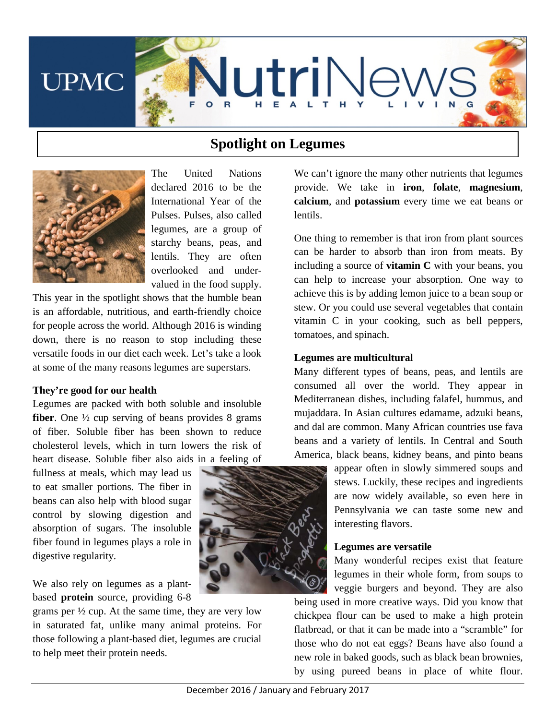

# **Spotlight on Legumes**



The United Nations declared 2016 to be the International Year of the Pulses. Pulses, also called legumes, are a group of starchy beans, peas, and lentils. They are often overlooked and undervalued in the food supply.

This year in the spotlight shows that the humble bean is an affordable, nutritious, and earth-friendly choice for people across the world. Although 2016 is winding down, there is no reason to stop including these versatile foods in our diet each week. Let's take a look at some of the many reasons legumes are superstars.

#### **They're good for our health**

Legumes are packed with both soluble and insoluble **fiber**. One ½ cup serving of beans provides 8 grams of fiber. Soluble fiber has been shown to reduce cholesterol levels, which in turn lowers the risk of heart disease. Soluble fiber also aids in a feeling of

fullness at meals, which may lead us to eat smaller portions. The fiber in beans can also help with blood sugar control by slowing digestion and absorption of sugars. The insoluble fiber found in legumes plays a role in digestive regularity.

We also rely on legumes as a plantbased **protein** source, providing 6-8

grams per ½ cup. At the same time, they are very low in saturated fat, unlike many animal proteins. For those following a plant-based diet, legumes are crucial to help meet their protein needs.



We can't ignore the many other nutrients that legumes provide. We take in **iron**, **folate**, **magnesium**, **calcium**, and **potassium** every time we eat beans or lentils.

One thing to remember is that iron from plant sources can be harder to absorb than iron from meats. By including a source of **vitamin C** with your beans, you can help to increase your absorption. One way to achieve this is by adding lemon juice to a bean soup or stew. Or you could use several vegetables that contain vitamin C in your cooking, such as bell peppers, tomatoes, and spinach.

#### **Legumes are multicultural**

Many different types of beans, peas, and lentils are consumed all over the world. They appear in Mediterranean dishes, including falafel, hummus, and mujaddara. In Asian cultures edamame, adzuki beans, and dal are common. Many African countries use fava beans and a variety of lentils. In Central and South America, black beans, kidney beans, and pinto beans

appear often in slowly simmered soups and stews. Luckily, these recipes and ingredients are now widely available, so even here in Pennsylvania we can taste some new and interesting flavors.

## **Legumes are versatile**

Many wonderful recipes exist that feature legumes in their whole form, from soups to veggie burgers and beyond. They are also

being used in more creative ways. Did you know that chickpea flour can be used to make a high protein flatbread, or that it can be made into a "scramble" for those who do not eat eggs? Beans have also found a new role in baked goods, such as black bean brownies, by using pureed beans in place of white flour.